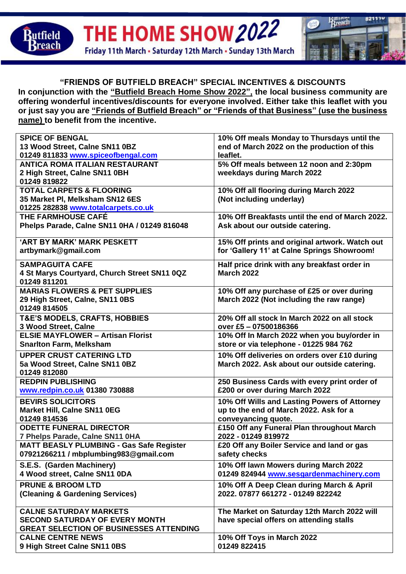

THE HOME SHOW 2022 Friday 11th March . Saturday 12th March . Sunday 13th March



## **"FRIENDS OF BUTFIELD BREACH" SPECIAL INCENTIVES & DISCOUNTS**

**In conjunction with the "Butfield Breach Home Show 2022", the local business community are offering wonderful incentives/discounts for everyone involved. Either take this leaflet with you or just say you are "Friends of Butfield Breach" or "Friends of that Business" (use the business name) to benefit from the incentive.**

| <b>SPICE OF BENGAL</b>                          | 10% Off meals Monday to Thursdays until the     |
|-------------------------------------------------|-------------------------------------------------|
| 13 Wood Street, Calne SN11 0BZ                  | end of March 2022 on the production of this     |
| 01249 811833 www.spiceofbengal.com              | leaflet.                                        |
| <b>ANTICA ROMA ITALIAN RESTAURANT</b>           | 5% Off meals between 12 noon and 2:30pm         |
| 2 High Street, Calne SN11 0BH                   | weekdays during March 2022                      |
| 01249 819822                                    |                                                 |
| <b>TOTAL CARPETS &amp; FLOORING</b>             | 10% Off all flooring during March 2022          |
| 35 Market PI, Melksham SN12 6ES                 | (Not including underlay)                        |
| 01225 282838 www.totalcarpets.co.uk             |                                                 |
| THE FARMHOUSE CAFÉ                              | 10% Off Breakfasts until the end of March 2022. |
| Phelps Parade, Calne SN11 0HA / 01249 816048    | Ask about our outside catering.                 |
|                                                 |                                                 |
| 'ART BY MARK' MARK PESKETT                      | 15% Off prints and original artwork. Watch out  |
| artbymark@gmail.com                             | for 'Gallery 11' at Calne Springs Showroom!     |
| <b>SAMPAGUITA CAFE</b>                          | Half price drink with any breakfast order in    |
| 4 St Marys Courtyard, Church Street SN11 0QZ    | <b>March 2022</b>                               |
| 01249 811201                                    |                                                 |
| <b>MARIAS FLOWERS &amp; PET SUPPLIES</b>        | 10% Off any purchase of £25 or over during      |
| 29 High Street, Calne, SN11 0BS                 | March 2022 (Not including the raw range)        |
| 01249 814505                                    |                                                 |
| <b>T&amp;E'S MODELS, CRAFTS, HOBBIES</b>        | 20% Off all stock In March 2022 on all stock    |
| 3 Wood Street, Calne                            | over £5 - 07500186366                           |
| <b>ELSIE MAYFLOWER - Artisan Florist</b>        | 10% Off In March 2022 when you buy/order in     |
| <b>Snarlton Farm, Melksham</b>                  | store or via telephone - 01225 984 762          |
| <b>UPPER CRUST CATERING LTD</b>                 | 10% Off deliveries on orders over £10 during    |
| 5a Wood Street, Calne SN11 0BZ                  | March 2022. Ask about our outside catering.     |
| 01249 812080                                    |                                                 |
| <b>REDPIN PUBLISHING</b>                        | 250 Business Cards with every print order of    |
| www.redpin.co.uk 01380 730888                   | £200 or over during March 2022                  |
| <b>BEVIRS SOLICITORS</b>                        | 10% Off Wills and Lasting Powers of Attorney    |
| <b>Market Hill, Calne SN11 0EG</b>              | up to the end of March 2022. Ask for a          |
| 01249 814536                                    | conveyancing quote.                             |
| <b>ODETTE FUNERAL DIRECTOR</b>                  | £150 Off any Funeral Plan throughout March      |
| 7 Phelps Parade, Calne SN11 0HA                 | 2022 - 01249 819972                             |
| <b>MATT BEASLY PLUMBING - Gas Safe Register</b> | £20 Off any Boiler Service and land or gas      |
| 07921266211 / mbplumbing983@gmail.com           | safety checks                                   |
|                                                 |                                                 |
| S.E.S. (Garden Machinery)                       | 10% Off lawn Mowers during March 2022           |
| 4 Wood street, Calne SN11 0DA                   | 01249 824944 www.sesgardenmachinery.com         |
| <b>PRUNE &amp; BROOM LTD</b>                    | 10% Off A Deep Clean during March & April       |
| (Cleaning & Gardening Services)                 | 2022.07877 661272 - 01249 822242                |
|                                                 |                                                 |
| <b>CALNE SATURDAY MARKETS</b>                   | The Market on Saturday 12th March 2022 will     |
| <b>SECOND SATURDAY OF EVERY MONTH</b>           | have special offers on attending stalls         |
| <b>GREAT SELECTION OF BUSINESSES ATTENDING</b>  |                                                 |
| <b>CALNE CENTRE NEWS</b>                        | 10% Off Toys in March 2022                      |
| 9 High Street Calne SN11 0BS                    | 01249 822415                                    |